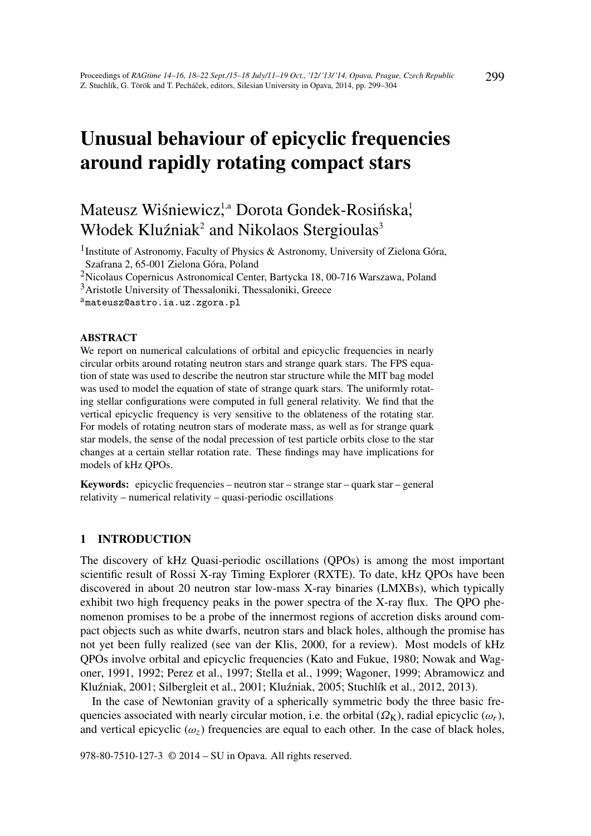# Unusual behaviour of epicyclic frequencies around rapidly rotating compact stars

# Mateusz Wiśniewicz<sup>1,a</sup> Dorota Gondek-Rosińska<sup>1</sup>, Włodek Kluźniak<sup>2</sup> and Nikolaos Stergioulas<sup>3</sup>

<sup>1</sup> Institute of Astronomy, Faculty of Physics & Astronomy, University of Zielona Góra, Szafrana 2, 65-001 Zielona Góra, Poland

<sup>2</sup>Nicolaus Copernicus Astronomical Center, Bartycka 18, 00-716 Warszawa, Poland

<sup>3</sup>Aristotle University of Thessaloniki, Thessaloniki, Greece

<sup>a</sup>mateusz@astro.ia.uz.zgora.pl

#### ABSTRACT

We report on numerical calculations of orbital and epicyclic frequencies in nearly circular orbits around rotating neutron stars and strange quark stars. The FPS equation of state was used to describe the neutron star structure while the MIT bag model was used to model the equation of state of strange quark stars. The uniformly rotating stellar configurations were computed in full general relativity. We find that the vertical epicyclic frequency is very sensitive to the oblateness of the rotating star. For models of rotating neutron stars of moderate mass, as well as for strange quark star models, the sense of the nodal precession of test particle orbits close to the star changes at a certain stellar rotation rate. These findings may have implications for models of kHz QPOs.

Keywords: epicyclic frequencies – neutron star – strange star – quark star – general relativity – numerical relativity – quasi-periodic oscillations

## 1 INTRODUCTION

The discovery of kHz Quasi-periodic oscillations (QPOs) is among the most important scientific result of Rossi X-ray Timing Explorer (RXTE). To date, kHz QPOs have been discovered in about 20 neutron star low-mass X-ray binaries (LMXBs), which typically exhibit two high frequency peaks in the power spectra of the X-ray flux. The QPO phenomenon promises to be a probe of the innermost regions of accretion disks around compact objects such as white dwarfs, neutron stars and black holes, although the promise has not yet been fully realized (see van der Klis, 2000, for a review). Most models of kHz QPOs involve orbital and epicyclic frequencies (Kato and Fukue, 1980; Nowak and Wagoner, 1991, 1992; Perez et al., 1997; Stella et al., 1999; Wagoner, 1999; Abramowicz and Kluźniak, 2001; Silbergleit et al., 2001; Kluźniak, 2005; Stuchlík et al., 2012, 2013).

In the case of Newtonian gravity of a spherically symmetric body the three basic frequencies associated with nearly circular motion, i.e. the orbital  $(\Omega_K)$ , radial epicyclic  $(\omega_r)$ , and vertical epicyclic  $(\omega_z)$  frequencies are equal to each other. In the case of black holes,

978-80-7510-127-3 © 2014 – SU in Opava. All rights reserved.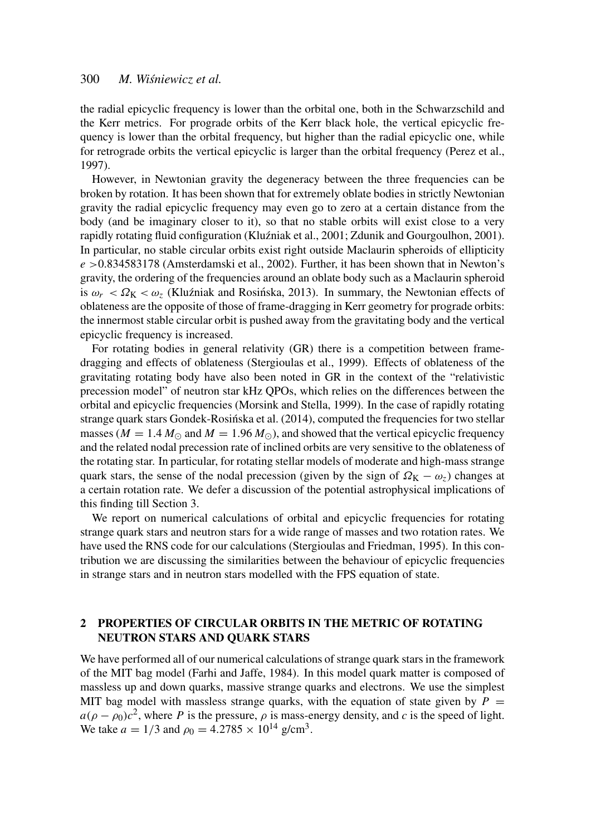# 300 *M. Wisniewicz et al. ´*

the radial epicyclic frequency is lower than the orbital one, both in the Schwarzschild and the Kerr metrics. For prograde orbits of the Kerr black hole, the vertical epicyclic frequency is lower than the orbital frequency, but higher than the radial epicyclic one, while for retrograde orbits the vertical epicyclic is larger than the orbital frequency (Perez et al., 1997).

However, in Newtonian gravity the degeneracy between the three frequencies can be broken by rotation. It has been shown that for extremely oblate bodies in strictly Newtonian gravity the radial epicyclic frequency may even go to zero at a certain distance from the body (and be imaginary closer to it), so that no stable orbits will exist close to a very rapidly rotating fluid configuration (Kluźniak et al., 2001; Zdunik and Gourgoulhon, 2001). In particular, no stable circular orbits exist right outside Maclaurin spheroids of ellipticity *e* >0.834583178 (Amsterdamski et al., 2002). Further, it has been shown that in Newton's gravity, the ordering of the frequencies around an oblate body such as a Maclaurin spheroid is  $\omega_r < \Omega_K < \omega_z$  (Kluźniak and Rosińska, 2013). In summary, the Newtonian effects of oblateness are the opposite of those of frame-dragging in Kerr geometry for prograde orbits: the innermost stable circular orbit is pushed away from the gravitating body and the vertical epicyclic frequency is increased.

For rotating bodies in general relativity (GR) there is a competition between framedragging and effects of oblateness (Stergioulas et al., 1999). Effects of oblateness of the gravitating rotating body have also been noted in GR in the context of the "relativistic precession model" of neutron star kHz QPOs, which relies on the differences between the orbital and epicyclic frequencies (Morsink and Stella, 1999). In the case of rapidly rotating strange quark stars Gondek-Rosińska et al. (2014), computed the frequencies for two stellar masses ( $M = 1.4 M_{\odot}$  and  $M = 1.96 M_{\odot}$ ), and showed that the vertical epicyclic frequency and the related nodal precession rate of inclined orbits are very sensitive to the oblateness of the rotating star. In particular, for rotating stellar models of moderate and high-mass strange quark stars, the sense of the nodal precession (given by the sign of  $\Omega_{\rm K} - \omega_z$ ) changes at a certain rotation rate. We defer a discussion of the potential astrophysical implications of this finding till Section 3.

We report on numerical calculations of orbital and epicyclic frequencies for rotating strange quark stars and neutron stars for a wide range of masses and two rotation rates. We have used the RNS code for our calculations (Stergioulas and Friedman, 1995). In this contribution we are discussing the similarities between the behaviour of epicyclic frequencies in strange stars and in neutron stars modelled with the FPS equation of state.

# 2 PROPERTIES OF CIRCULAR ORBITS IN THE METRIC OF ROTATING NEUTRON STARS AND QUARK STARS

We have performed all of our numerical calculations of strange quark stars in the framework of the MIT bag model (Farhi and Jaffe, 1984). In this model quark matter is composed of massless up and down quarks, massive strange quarks and electrons. We use the simplest MIT bag model with massless strange quarks, with the equation of state given by  $P =$  $a(\rho - \rho_0)c^2$ , where *P* is the pressure,  $\rho$  is mass-energy density, and *c* is the speed of light. We take  $a = 1/3$  and  $\rho_0 = 4.2785 \times 10^{14}$  g/cm<sup>3</sup>.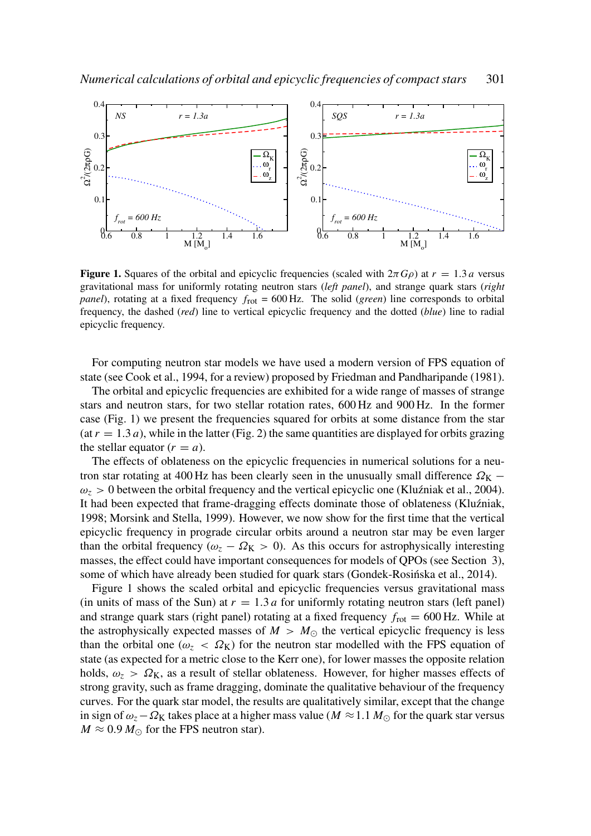

**Figure 1.** Squares of the orbital and epicyclic frequencies (scaled with  $2\pi G\rho$ ) at  $r = 1.3 a$  versus gravitational mass for uniformly rotating neutron stars (*left panel*), and strange quark stars (*right panel*), rotating at a fixed frequency  $f_{\text{rot}} = 600 \text{ Hz}$ . The solid (*green*) line corresponds to orbital frequency, the dashed (*red*) line to vertical epicyclic frequency and the dotted (*blue*) line to radial epicyclic frequency.

For computing neutron star models we have used a modern version of FPS equation of state (see Cook et al., 1994, for a review) proposed by Friedman and Pandharipande (1981).

The orbital and epicyclic frequencies are exhibited for a wide range of masses of strange stars and neutron stars, for two stellar rotation rates, 600 Hz and 900 Hz. In the former case (Fig. 1) we present the frequencies squared for orbits at some distance from the star  $(\text{at } r = 1.3 a)$ , while in the latter (Fig. 2) the same quantities are displayed for orbits grazing the stellar equator  $(r = a)$ .

The effects of oblateness on the epicyclic frequencies in numerical solutions for a neutron star rotating at 400 Hz has been clearly seen in the unusually small difference  $\Omega_{\rm K}$  –  $\omega_z > 0$  between the orbital frequency and the vertical epicyclic one (Kluźniak et al., 2004). It had been expected that frame-dragging effects dominate those of oblateness (Kluźniak, 1998; Morsink and Stella, 1999). However, we now show for the first time that the vertical epicyclic frequency in prograde circular orbits around a neutron star may be even larger than the orbital frequency ( $\omega_z - \Omega_K > 0$ ). As this occurs for astrophysically interesting masses, the effect could have important consequences for models of QPOs (see Section 3), some of which have already been studied for quark stars (Gondek-Rosinska et al., 2014).

Figure 1 shows the scaled orbital and epicyclic frequencies versus gravitational mass (in units of mass of the Sun) at  $r = 1.3 a$  for uniformly rotating neutron stars (left panel) and strange quark stars (right panel) rotating at a fixed frequency  $f_{\text{rot}} = 600 \text{ Hz}$ . While at the astrophysically expected masses of  $M > M_{\odot}$  the vertical epicyclic frequency is less than the orbital one ( $\omega_z < \Omega_K$ ) for the neutron star modelled with the FPS equation of state (as expected for a metric close to the Kerr one), for lower masses the opposite relation holds,  $\omega_z > \Omega_K$ , as a result of stellar oblateness. However, for higher masses effects of strong gravity, such as frame dragging, dominate the qualitative behaviour of the frequency curves. For the quark star model, the results are qualitatively similar, except that the change in sign of  $\omega_z - \Omega_K$  takes place at a higher mass value ( $M \approx 1.1 M_{\odot}$  for the quark star versus  $M \approx 0.9 M_{\odot}$  for the FPS neutron star).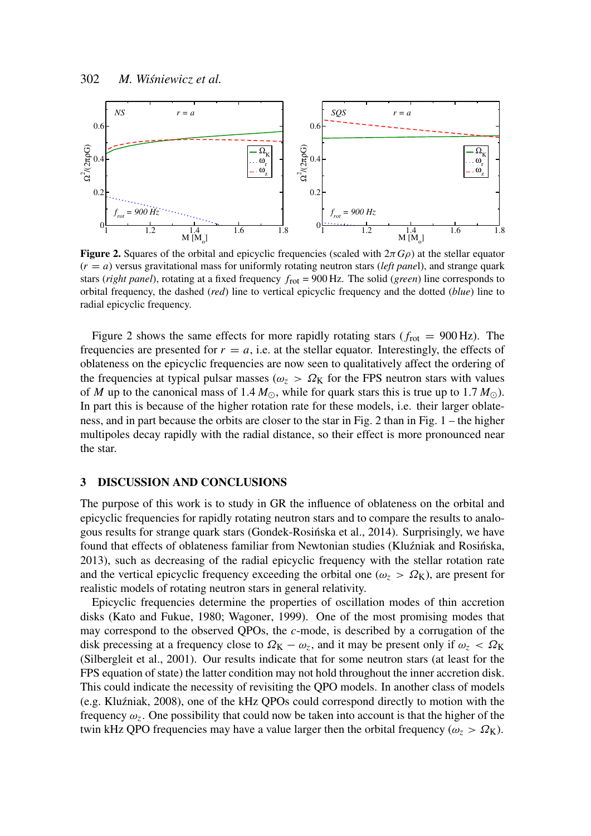

**Figure 2.** Squares of the orbital and epicyclic frequencies (scaled with  $2\pi G\rho$ ) at the stellar equator  $(r = a)$  versus gravitational mass for uniformly rotating neutron stars (*left panel*), and strange quark stars (*right panel*), rotating at a fixed frequency *f*rot = 900 Hz. The solid (*green*) line corresponds to orbital frequency, the dashed (*red*) line to vertical epicyclic frequency and the dotted (*blue*) line to radial epicyclic frequency.

Figure 2 shows the same effects for more rapidly rotating stars ( $f_{\text{rot}} = 900 \text{ Hz}$ ). The frequencies are presented for  $r = a$ , i.e. at the stellar equator. Interestingly, the effects of oblateness on the epicyclic frequencies are now seen to qualitatively affect the ordering of the frequencies at typical pulsar masses ( $\omega_z > \Omega_K$  for the FPS neutron stars with values of *M* up to the canonical mass of 1.4  $M_{\odot}$ , while for quark stars this is true up to 1.7  $M_{\odot}$ ). In part this is because of the higher rotation rate for these models, i.e. their larger oblateness, and in part because the orbits are closer to the star in Fig. 2 than in Fig. 1 – the higher multipoles decay rapidly with the radial distance, so their effect is more pronounced near the star.

## 3 DISCUSSION AND CONCLUSIONS

The purpose of this work is to study in GR the influence of oblateness on the orbital and epicyclic frequencies for rapidly rotating neutron stars and to compare the results to analogous results for strange quark stars (Gondek-Rosinska et al., 2014). Surprisingly, we have ´ found that effects of oblateness familiar from Newtonian studies (Kluźniak and Rosińska, 2013), such as decreasing of the radial epicyclic frequency with the stellar rotation rate and the vertical epicyclic frequency exceeding the orbital one ( $\omega_z > \Omega_K$ ), are present for realistic models of rotating neutron stars in general relativity.

Epicyclic frequencies determine the properties of oscillation modes of thin accretion disks (Kato and Fukue, 1980; Wagoner, 1999). One of the most promising modes that may correspond to the observed QPOs, the *c*-mode, is described by a corrugation of the disk precessing at a frequency close to  $\Omega_K - \omega_z$ , and it may be present only if  $\omega_z < \Omega_K$ (Silbergleit et al., 2001). Our results indicate that for some neutron stars (at least for the FPS equation of state) the latter condition may not hold throughout the inner accretion disk. This could indicate the necessity of revisiting the QPO models. In another class of models (e.g. Klu´zniak, 2008), one of the kHz QPOs could correspond directly to motion with the frequency  $\omega_z$ . One possibility that could now be taken into account is that the higher of the twin kHz QPO frequencies may have a value larger then the orbital frequency ( $\omega_z > \Omega_K$ ).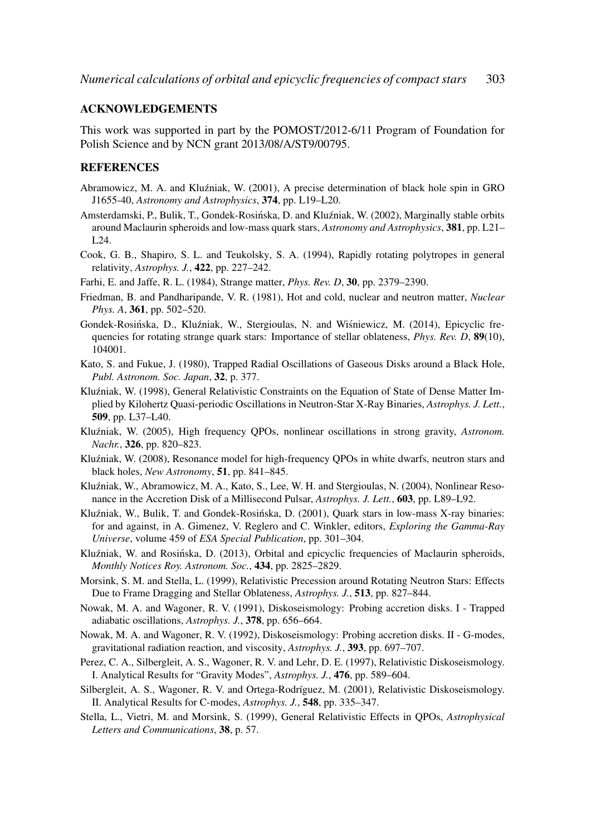### ACKNOWLEDGEMENTS

This work was supported in part by the POMOST/2012-6/11 Program of Foundation for Polish Science and by NCN grant 2013/08/A/ST9/00795.

#### **REFERENCES**

- Abramowicz, M. A. and Kluźniak, W. (2001), A precise determination of black hole spin in GRO J1655-40, *Astronomy and Astrophysics*, 374, pp. L19–L20.
- Amsterdamski, P., Bulik, T., Gondek-Rosińska, D. and Kluźniak, W. (2002), Marginally stable orbits around Maclaurin spheroids and low-mass quark stars, *Astronomy and Astrophysics*, 381, pp. L21– L24.
- Cook, G. B., Shapiro, S. L. and Teukolsky, S. A. (1994), Rapidly rotating polytropes in general relativity, *Astrophys. J.*, 422, pp. 227–242.
- Farhi, E. and Jaffe, R. L. (1984), Strange matter, *Phys. Rev. D*, 30, pp. 2379–2390.
- Friedman, B. and Pandharipande, V. R. (1981), Hot and cold, nuclear and neutron matter, *Nuclear Phys. A*, 361, pp. 502–520.
- Gondek-Rosińska, D., Kluźniak, W., Stergioulas, N. and Wiśniewicz, M. (2014), Epicyclic frequencies for rotating strange quark stars: Importance of stellar oblateness, *Phys. Rev. D*, 89(10), 104001.
- Kato, S. and Fukue, J. (1980), Trapped Radial Oscillations of Gaseous Disks around a Black Hole, *Publ. Astronom. Soc. Japan*, 32, p. 377.
- Kluźniak, W. (1998), General Relativistic Constraints on the Equation of State of Dense Matter Implied by Kilohertz Quasi-periodic Oscillations in Neutron-Star X-Ray Binaries, *Astrophys. J. Lett.*, 509, pp. L37–L40.
- Klu´zniak, W. (2005), High frequency QPOs, nonlinear oscillations in strong gravity, *Astronom. Nachr.*, 326, pp. 820–823.
- Kluźniak, W. (2008), Resonance model for high-frequency QPOs in white dwarfs, neutron stars and black holes, *New Astronomy*, 51, pp. 841–845.
- Kluźniak, W., Abramowicz, M. A., Kato, S., Lee, W. H. and Stergioulas, N. (2004), Nonlinear Resonance in the Accretion Disk of a Millisecond Pulsar, *Astrophys. J. Lett.*, 603, pp. L89–L92.
- Kluźniak, W., Bulik, T. and Gondek-Rosińska, D. (2001), Quark stars in low-mass X-ray binaries: for and against, in A. Gimenez, V. Reglero and C. Winkler, editors, *Exploring the Gamma-Ray Universe*, volume 459 of *ESA Special Publication*, pp. 301–304.
- Kluźniak, W. and Rosińska, D. (2013), Orbital and epicyclic frequencies of Maclaurin spheroids, *Monthly Notices Roy. Astronom. Soc.*, 434, pp. 2825–2829.
- Morsink, S. M. and Stella, L. (1999), Relativistic Precession around Rotating Neutron Stars: Effects Due to Frame Dragging and Stellar Oblateness, *Astrophys. J.*, 513, pp. 827–844.
- Nowak, M. A. and Wagoner, R. V. (1991), Diskoseismology: Probing accretion disks. I Trapped adiabatic oscillations, *Astrophys. J.*, 378, pp. 656–664.
- Nowak, M. A. and Wagoner, R. V. (1992), Diskoseismology: Probing accretion disks. II G-modes, gravitational radiation reaction, and viscosity, *Astrophys. J.*, 393, pp. 697–707.
- Perez, C. A., Silbergleit, A. S., Wagoner, R. V. and Lehr, D. E. (1997), Relativistic Diskoseismology. I. Analytical Results for "Gravity Modes", *Astrophys. J.*, 476, pp. 589–604.
- Silbergleit, A. S., Wagoner, R. V. and Ortega-Rodríguez, M. (2001), Relativistic Diskoseismology. II. Analytical Results for C-modes, *Astrophys. J.*, 548, pp. 335–347.
- Stella, L., Vietri, M. and Morsink, S. (1999), General Relativistic Effects in QPOs, *Astrophysical Letters and Communications*, 38, p. 57.